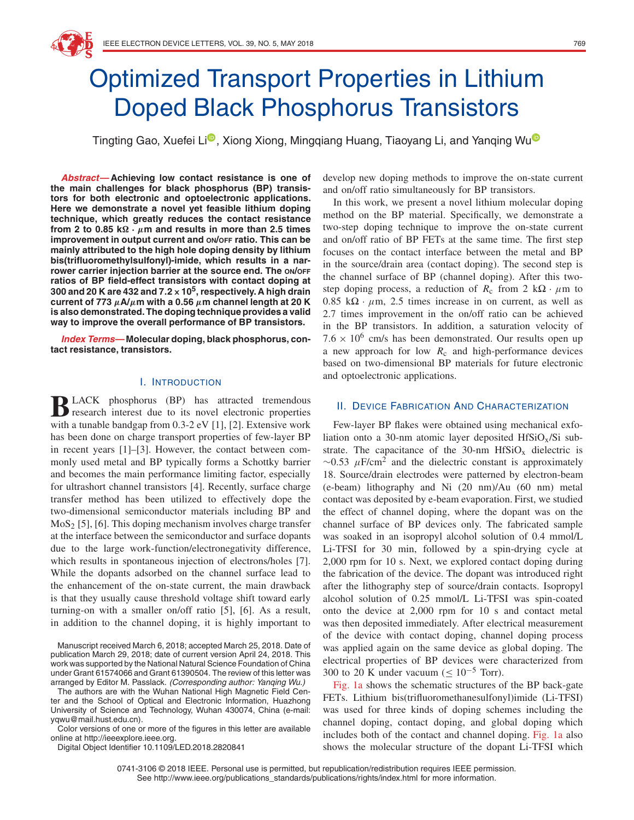

T[i](https://orcid.org/0000-0001-6406-6461)ngting Gao, Xuefei Li<sup>o</sup>, Xiong Xiong, Mingqiang Huang, Tiaoyang Li, and Yanqing Wu<sup>o</sup>

**Abstract—Achieving low contact resistance is one of the main challenges for black phosphorus (BP) transistors for both electronic and optoelectronic applications. Here we demonstrate a novel yet feasible lithium doping technique, which greatly reduces the contact resistance from 2 to 0.85 k** $\Omega \cdot \mu$ m and results in more than 2.5 times **improvement in output current and ON/OFF ratio. This can be mainly attributed to the high hole doping density by lithium bis(trifluoromethylsulfonyl)-imide, which results in a narrower carrier injection barrier at the source end. The ON/OFF ratios of BP field-effect transistors with contact doping at 300 and 20 K are 432 and 7***.***2×105, respectively. A high drain current of 773** *μ***A/***μ***m with a 0.56** *μ***m channel length at 20 K is also demonstrated. The doping technique provides a valid way to improve the overall performance of BP transistors.**

**Index Terms—Molecular doping, black phosphorus, contact resistance, transistors.**

## I. INTRODUCTION

**BLACK** phosphorus (BP) has attracted tremendous<br>research interest due to its novel electronic properties with a tunable bandgap from 0.3-2 eV [1], [2]. Extensive work has been done on charge transport properties of few-layer BP in recent years [1]–[3]. However, the contact between commonly used metal and BP typically forms a Schottky barrier and becomes the main performance limiting factor, especially for ultrashort channel transistors [4]. Recently, surface charge transfer method has been utilized to effectively dope the two-dimensional semiconductor materials including BP and  $MoS<sub>2</sub>$  [5], [6]. This doping mechanism involves charge transfer at the interface between the semiconductor and surface dopants due to the large work-function/electronegativity difference, which results in spontaneous injection of electrons/holes [7]. While the dopants adsorbed on the channel surface lead to the enhancement of the on-state current, the main drawback is that they usually cause threshold voltage shift toward early turning-on with a smaller on/off ratio [5], [6]. As a result, in addition to the channel doping, it is highly important to

Manuscript received March 6, 2018; accepted March 25, 2018. Date of publication March 29, 2018; date of current version April 24, 2018. This work was supported by the National Natural Science Foundation of China under Grant 61574066 and Grant 61390504. The review of this letter was arranged by Editor M. Passlack. (Corresponding author: Yanqing Wu.)

The authors are with the Wuhan National High Magnetic Field Center and the School of Optical and Electronic Information, Huazhong University of Science and Technology, Wuhan 430074, China (e-mail: yqwu@mail.hust.edu.cn).

Color versions of one or more of the figures in this letter are available online at http://ieeexplore.ieee.org.

Digital Object Identifier 10.1109/LED.2018.2820841

develop new doping methods to improve the on-state current and on/off ratio simultaneously for BP transistors.

In this work, we present a novel lithium molecular doping method on the BP material. Specifically, we demonstrate a two-step doping technique to improve the on-state current and on/off ratio of BP FETs at the same time. The first step focuses on the contact interface between the metal and BP in the source/drain area (contact doping). The second step is the channel surface of BP (channel doping). After this twostep doping process, a reduction of  $R_c$  from 2 k $\Omega \cdot \mu$ m to  $0.85 \text{ k}\Omega \cdot \mu \text{m}$ , 2.5 times increase in on current, as well as 2.7 times improvement in the on/off ratio can be achieved in the BP transistors. In addition, a saturation velocity of  $7.6 \times 10^6$  cm/s has been demonstrated. Our results open up a new approach for low  $R_c$  and high-performance devices based on two-dimensional BP materials for future electronic and optoelectronic applications.

## II. DEVICE FABRICATION AND CHARACTERIZATION

Few-layer BP flakes were obtained using mechanical exfoliation onto a 30-nm atomic layer deposited  $HfSiO<sub>x</sub>/Si$  substrate. The capacitance of the 30-nm  $HfSiO<sub>x</sub>$  dielectric is  $\sim$ 0.53  $\mu$ F/cm<sup>2</sup> and the dielectric constant is approximately 18. Source/drain electrodes were patterned by electron-beam (e-beam) lithography and Ni (20 nm)/Au (60 nm) metal contact was deposited by e-beam evaporation. First, we studied the effect of channel doping, where the dopant was on the channel surface of BP devices only. The fabricated sample was soaked in an isopropyl alcohol solution of 0.4 mmol/L Li-TFSI for 30 min, followed by a spin-drying cycle at 2,000 rpm for 10 s. Next, we explored contact doping during the fabrication of the device. The dopant was introduced right after the lithography step of source/drain contacts. Isopropyl alcohol solution of 0.25 mmol/L Li-TFSI was spin-coated onto the device at 2,000 rpm for 10 s and contact metal was then deposited immediately. After electrical measurement of the device with contact doping, channel doping process was applied again on the same device as global doping. The electrical properties of BP devices were characterized from 300 to 20 K under vacuum ( $\leq 10^{-5}$  Torr).

Fig. 1a shows the schematic structures of the BP back-gate FETs. Lithium bis(trifluoromethanesulfonyl)imide (Li-TFSI) was used for three kinds of doping schemes including the channel doping, contact doping, and global doping which includes both of the contact and channel doping. Fig. 1a also shows the molecular structure of the dopant Li-TFSI which

0741-3106 © 2018 IEEE. Personal use is permitted, but republication/redistribution requires IEEE permission. See http://www.ieee.org/publications\_standards/publications/rights/index.html for more information.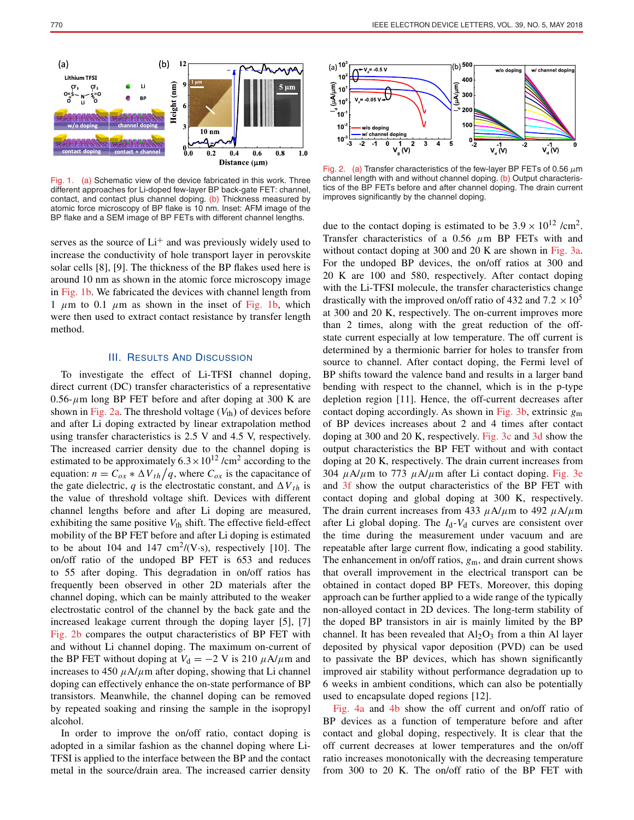

Fig. 1. (a) Schematic view of the device fabricated in this work. Three different approaches for Li-doped few-layer BP back-gate FET: channel, contact, and contact plus channel doping. (b) Thickness measured by atomic force microscopy of BP flake is 10 nm. Inset: AFM image of the BP flake and a SEM image of BP FETs with different channel lengths.

serves as the source of  $Li<sup>+</sup>$  and was previously widely used to increase the conductivity of hole transport layer in perovskite solar cells [8], [9]. The thickness of the BP flakes used here is around 10 nm as shown in the atomic force microscopy image in Fig. 1b. We fabricated the devices with channel length from 1  $\mu$ m to 0.1  $\mu$ m as shown in the inset of Fig. 1b, which were then used to extract contact resistance by transfer length method.

## III. RESULTS AND DISCUSSION

To investigate the effect of Li-TFSI channel doping, direct current (DC) transfer characteristics of a representative  $0.56$ - $\mu$ m long BP FET before and after doping at 300 K are shown in Fig. 2a. The threshold voltage  $(V<sub>th</sub>)$  of devices before and after Li doping extracted by linear extrapolation method using transfer characteristics is 2.5 V and 4.5 V, respectively. The increased carrier density due to the channel doping is estimated to be approximately  $6.3 \times 10^{12}$  /cm<sup>2</sup> according to the equation:  $n = C_{ox} * \Delta V_{th}/q$ , where  $C_{ox}$  is the capacitance of the gate dielectric, *q* is the electrostatic constant, and  $\Delta V_{th}$  is the value of threshold voltage shift. Devices with different channel lengths before and after Li doping are measured, exhibiting the same positive  $V_{\text{th}}$  shift. The effective field-effect mobility of the BP FET before and after Li doping is estimated to be about 104 and 147  $\text{cm}^2/\text{(V} \cdot \text{s})$ , respectively [10]. The on/off ratio of the undoped BP FET is 653 and reduces to 55 after doping. This degradation in on/off ratios has frequently been observed in other 2D materials after the channel doping, which can be mainly attributed to the weaker electrostatic control of the channel by the back gate and the increased leakage current through the doping layer [5], [7] Fig. 2b compares the output characteristics of BP FET with and without Li channel doping. The maximum on-current of the BP FET without doping at  $V_d = -2$  V is 210  $\mu$ A/ $\mu$ m and increases to 450  $\mu$ A/ $\mu$ m after doping, showing that Li channel doping can effectively enhance the on-state performance of BP transistors. Meanwhile, the channel doping can be removed by repeated soaking and rinsing the sample in the isopropyl alcohol.

In order to improve the on/off ratio, contact doping is adopted in a similar fashion as the channel doping where Li-TFSI is applied to the interface between the BP and the contact metal in the source/drain area. The increased carrier density



Fig. 2. (a) Transfer characteristics of the few-layer BP FETs of 0.56 *µ*m channel length with and without channel doping. (b) Output characteristics of the BP FETs before and after channel doping. The drain current improves significantly by the channel doping.

due to the contact doping is estimated to be  $3.9 \times 10^{12}$  /cm<sup>2</sup>. Transfer characteristics of a 0.56  $\mu$ m BP FETs with and without contact doping at 300 and 20 K are shown in Fig. 3a. For the undoped BP devices, the on/off ratios at 300 and 20 K are 100 and 580, respectively. After contact doping with the Li-TFSI molecule, the transfer characteristics change drastically with the improved on/off ratio of 432 and  $7.2 \times 10^5$ at 300 and 20 K, respectively. The on-current improves more than 2 times, along with the great reduction of the offstate current especially at low temperature. The off current is determined by a thermionic barrier for holes to transfer from source to channel. After contact doping, the Fermi level of BP shifts toward the valence band and results in a larger band bending with respect to the channel, which is in the p-type depletion region [11]. Hence, the off-current decreases after contact doping accordingly. As shown in Fig. 3b, extrinsic *g*<sup>m</sup> of BP devices increases about 2 and 4 times after contact doping at 300 and 20 K, respectively. Fig. 3c and 3d show the output characteristics the BP FET without and with contact doping at 20 K, respectively. The drain current increases from 304  $\mu$ A/ $\mu$ m to 773  $\mu$ A/ $\mu$ m after Li contact doping. Fig. 3e and 3f show the output characteristics of the BP FET with contact doping and global doping at 300 K, respectively. The drain current increases from 433  $\mu$ A/ $\mu$ m to 492  $\mu$ A/ $\mu$ m after Li global doping. The  $I_d$ - $V_d$  curves are consistent over the time during the measurement under vacuum and are repeatable after large current flow, indicating a good stability. The enhancement in on/off ratios,  $g_m$ , and drain current shows that overall improvement in the electrical transport can be obtained in contact doped BP FETs. Moreover, this doping approach can be further applied to a wide range of the typically non-alloyed contact in 2D devices. The long-term stability of the doped BP transistors in air is mainly limited by the BP channel. It has been revealed that  $Al_2O_3$  from a thin Al layer deposited by physical vapor deposition (PVD) can be used to passivate the BP devices, which has shown significantly improved air stability without performance degradation up to 6 weeks in ambient conditions, which can also be potentially used to encapsulate doped regions [12].

Fig. 4a and 4b show the off current and on/off ratio of BP devices as a function of temperature before and after contact and global doping, respectively. It is clear that the off current decreases at lower temperatures and the on/off ratio increases monotonically with the decreasing temperature from 300 to 20 K. The on/off ratio of the BP FET with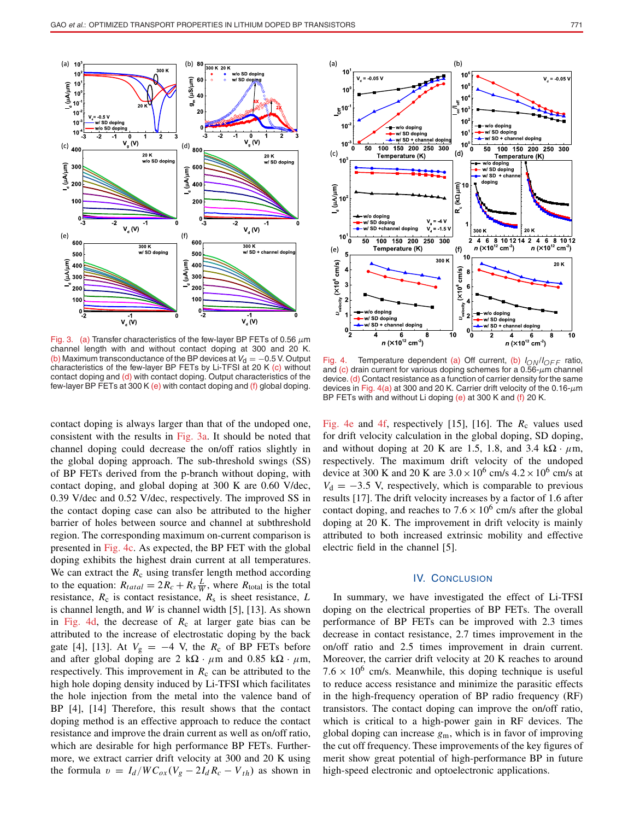

Fig. 3. (a) Transfer characteristics of the few-layer BP FETs of 0.56 *µ*m channel length with and without contact doping at 300 and 20 K. (b) Maximum transconductance of the BP devices at  $V_d = -0.5$  V. Output characteristics of the few-layer BP FETs by Li-TFSI at 20 K (c) without contact doping and (d) with contact doping. Output characteristics of the few-layer BP FETs at 300 K (e) with contact doping and (f) global doping.

contact doping is always larger than that of the undoped one, consistent with the results in Fig. 3a. It should be noted that channel doping could decrease the on/off ratios slightly in the global doping approach. The sub-threshold swings (SS) of BP FETs derived from the p-branch without doping, with contact doping, and global doping at 300 K are 0.60 V/dec, 0.39 V/dec and 0.52 V/dec, respectively. The improved SS in the contact doping case can also be attributed to the higher barrier of holes between source and channel at subthreshold region. The corresponding maximum on-current comparison is presented in Fig. 4c. As expected, the BP FET with the global doping exhibits the highest drain current at all temperatures. We can extract the  $R_c$  using transfer length method according to the equation:  $R_{tatal} = 2R_c + R_s \frac{L}{W}$ , where  $R_{total}$  is the total resistance,  $R_c$  is contact resistance,  $R_s$  is sheet resistance,  $L$ is channel length, and *W* is channel width [5], [13]. As shown in Fig. 4d, the decrease of  $R_c$  at larger gate bias can be attributed to the increase of electrostatic doping by the back gate [4], [13]. At  $V_g = -4$  V, the  $R_c$  of BP FETs before and after global doping are  $2 \kappa \Omega \cdot \mu m$  and  $0.85 \kappa \Omega \cdot \mu m$ , respectively. This improvement in  $R_c$  can be attributed to the high hole doping density induced by Li-TFSI which facilitates the hole injection from the metal into the valence band of BP [4], [14] Therefore, this result shows that the contact doping method is an effective approach to reduce the contact resistance and improve the drain current as well as on/off ratio, which are desirable for high performance BP FETs. Furthermore, we extract carrier drift velocity at 300 and 20 K using the formula  $v = I_d/WC_{ox}(V_g - 2I_dR_c - V_{th})$  as shown in



Fig. 4. Temperature dependent (a) Off current, (b) <sup>I</sup>*ON* /I*OF F* ratio, and (c) drain current for various doping schemes for a 0.56-*µ*m channel device. (d) Contact resistance as a function of carrier density for the same devices in Fig. 4(a) at 300 and 20 K. Carrier drift velocity of the 0.16-*µ*m

BP FETs with and without Li doping (e) at 300 K and (f) 20 K.

Fig. 4e and 4f, respectively [15], [16]. The  $R_c$  values used for drift velocity calculation in the global doping, SD doping, and without doping at 20 K are 1.5, 1.8, and 3.4  $k\Omega \cdot \mu m$ , respectively. The maximum drift velocity of the undoped device at 300 K and 20 K are  $3.0 \times 10^6$  cm/s  $4.2 \times 10^6$  cm/s at  $V<sub>d</sub>$  = −3.5 V, respectively, which is comparable to previous results [17]. The drift velocity increases by a factor of 1.6 after contact doping, and reaches to  $7.6 \times 10^6$  cm/s after the global doping at 20 K. The improvement in drift velocity is mainly attributed to both increased extrinsic mobility and effective electric field in the channel [5].

## IV. CONCLUSION

In summary, we have investigated the effect of Li-TFSI doping on the electrical properties of BP FETs. The overall performance of BP FETs can be improved with 2.3 times decrease in contact resistance, 2.7 times improvement in the on/off ratio and 2.5 times improvement in drain current. Moreover, the carrier drift velocity at 20 K reaches to around  $7.6 \times 10^6$  cm/s. Meanwhile, this doping technique is useful to reduce access resistance and minimize the parasitic effects in the high-frequency operation of BP radio frequency (RF) transistors. The contact doping can improve the on/off ratio, which is critical to a high-power gain in RF devices. The global doping can increase *g*m, which is in favor of improving the cut off frequency. These improvements of the key figures of merit show great potential of high-performance BP in future high-speed electronic and optoelectronic applications.